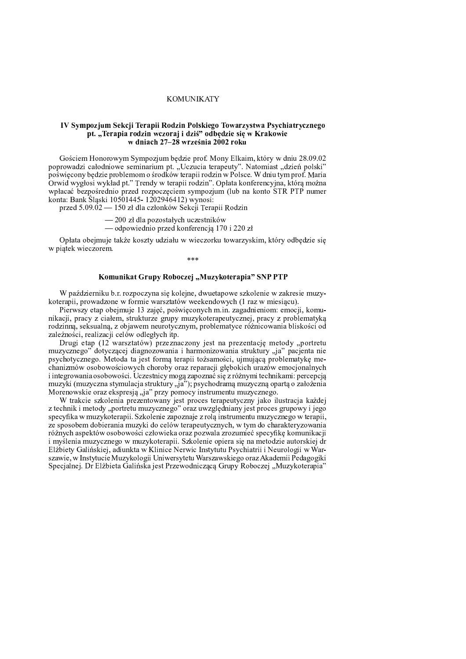# **KOMUNIKATY**

## IV Sympozjum Sekcji Terapii Rodzin Polskiego Towarzystwa Psychiatrycznego pt. "Terapia rodzin wczoraj i dziś" odbędzie się w Krakowie w dniach 27-28 września 2002 roku

Gościem Honorowym Sympozjum będzie prof. Mony Elkaim, który w dniu 28.09.02 poprowadzi całodniowe seminarium pt. "Uczucia terapeuty". Natomiast "dzień polski" poświęcony będzie problemom o środków terapii rodzin w Polsce. W dniu tym prof. Maria Orwid wygłosi wykład pt." Trendy w terapii rodzin". Opłata konferencyjna, którą można wpłacać bezpośrednio przed rozpoczęciem sympozjum (lub na konto STR PTP numer konta: Bank Śląski 10501445-1202946412) wynosi:

przed 5.09.02 — 150 zł dla członków Sekcji Terapii Rodzin

- 200 zł dla pozostałych uczestników

— odpowiednio przed konferencją 170 i 220 zł

Opłata obejmuje także koszty udziału w wieczorku towarzyskim, który odbędzie się w piątek wieczorem.

## Komunikat Grupy Roboczej "Muzykoterapia" SNP PTP

W październiku b.r. rozpoczyna się kolejne, dwuetapowe szkolenie w zakresie muzykoterapii, prowadzone w formie warsztatów weekendowych (1 raz w miesiącu).

Pierwszy etap obejmuje 13 zajęć, poświęconych m.in. zagadnieniom: emocji, komunikacji, pracy z ciałem, strukturze grupy muzykoterapeutycznej, pracy z problematyką rodzinną, seksualną, z objawem neurotycznym, problematyce różnicowania bliskości od zależności, realizacji celów odległych itp.

Drugi etap (12 warsztatów) przeznaczony jest na prezentację metody "portretu muzycznego" dotyczącej diagnozowania i harmonizowania struktury "ja" pacjenta nie psychotycznego. Metoda ta jest formą terapii tożsamości, ujmującą problematykę mechanizmów osobowościowych choroby oraz reparacji głębokich urazów emocjonalnych i integrowania osobowości. Uczestnicy mogą zapoznać się z różnymi technikami: percepcją muzyki (muzyczna stymulacja struktury "ja"); psychodramą muzyczną opartą o założenia Morenowskie oraz ekspresją "ja" przy pomocy instrumentu muzycznego.

W trakcie szkolenia prezentowany jest proces terapeutyczny jako ilustracja każdej z technik i metody "portretu muzycznego" oraz uwzględniany jest proces grupowy i jego specyfika w muzykoterapii. Szkolenie zapoznaje z rolą instrumentu muzycznego w terapii, ze sposobem dobierania muzyki do celów terapeutycznych, w tym do charakteryzowania różnych aspektów osobowości człowieka oraz pozwala zrozumieć specyfikę komunikacji i myślenia muzycznego w muzykoterapii. Szkolenie opiera się na metodzie autorskiej dr Elżbiety Galińskiej, adiunkta w Klinice Nerwic Instytutu Psychiatrii i Neurologii w Warszawie, w Instytucie Muzykologii Uniwersytetu Warszawskiego oraz Akademii Pedagogiki Specjalnej. Dr Elżbieta Galińska jest Przewodniczącą Grupy Roboczej "Muzykoterapia"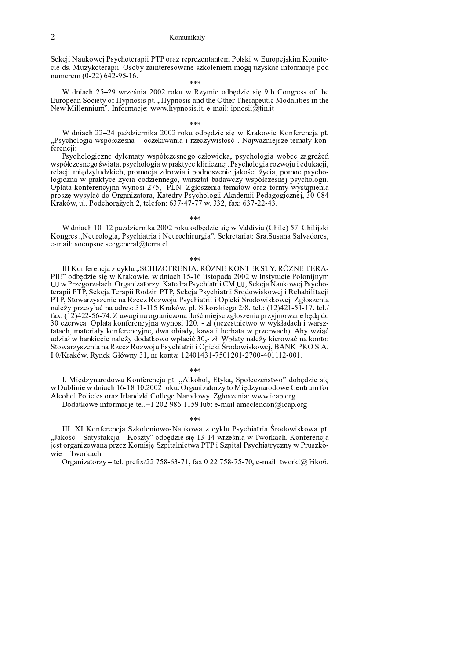Sekcji Naukowej Psychoterapii PTP oraz reprezentantem Polski w Europejskim Komitecie ds. Muzykoterapii. Osoby zainteresowane szkoleniem mogą uzyskać informacje pod numerem (0-22) 642-95-16.

i<br>Ar de de

W dniach 25–29 września 2002 roku w Rzymie odbedzie sie 9th Congress of the European Society of Hypnosis pt. "Hypnosis and the Other Therapeutic Modalities in the New Millennium". Informacje: www.hypnosis.it, e-mail: ipnosii@tin.it

W dniach 22-24 października 2002 roku odbędzie się w Krakowie Konferencja pt.<br>"Psychologia współczesna – oczekiwania i rzeczywistość". Najważniejsze tematy konferencji:

Psychologiczne dylematy współczesnego człowieka, psychologia wobec zagrożeń współczesnego świata, psychologia w praktyce klinicznej. Psychologia rozwoju i edukacji, relacji międzyludzkich, promocja zdrowia i podnoszenie jakości życia, pomoc psychologiczna w praktyce życia codziennego, warsztat badawczy współczesnej psychologii.<br>Opłata konferencyjna wynosi 275,- PLN. Zgłoszenia tematów oraz formy wystąpienia proszę wysyłać do Organizatora, Katedry Psychologii Akademii Pedagogicznej, 30-084 Kraków, ul. Podchorążych 2, telefon: 637-47-77 w. 332, fax: 637-22-43.

 $***$ 

W dniach 10–12 października 2002 roku odbędzie się w Valdivia (Chile) 57. Chilijski Kongres "Neurologia, Psychiatria i Neurochirurgia". Sekretariat: Sra. Susana Salvadores, e-mail: socnpsnc.secgeneral@terra.cl

### $***$

III Konferencja z cyklu "SCHIZOFRENIA: RÓZNE KONTEKSTY, RÓZNE TERA-PIE" odbędzie się w Krakowie, w dniach 15-16 listopada 2002 w Instytucie Polonijnym UJ w Przegorzałach. Organizatorzy: Katedra Psychiatrii CM UJ, Sekcja Naukowej Psychoterapii PTP, Sekcja Terapii Rodzin PTP, Sekcja Psychiatrii Środowiskowej i Rehabilitacji PTP, Stowarzyszenie na Rzecz Rozwoju Psychiatrii i Opieki Środowiskowej. Zgłoszenia należy przesyłać na adres: 31-115 Kraków, pl. Sikorskiego 2/8, tel.: (12)421-51-17, tel./ fax: (12)422-56-74. Z uwagi na ograniczona ilość miejsc zgłoszenia przyjmowane będą do 30 czerwca. Oplata konferencyjna wynosi 120. - zł (uczestnictwo w wykładach i warsztatach, materiały konferencyjne, dwa obiady, kawa i herbata w przerwach). Aby wziąć udział w bankiecie należy dodatkowo wpłacić 30,- zł. Wpłaty należy kierować na konto: Stowarzyszenia na Rzecz Rozwoju Psychiatrii i Opieki Środowiskowej, BANK PKO S.A. I 0/Kraków, Rynek Główny 31, nr konta: 12401431-7501201-2700-401112-001.

### $4.4.4$

I. Międzynarodowa Konferencja pt. "Alkohol, Etyka, Społeczeństwo" dobędzie się w Dublinie w dniach 16-18.10.2002 roku. Organizatorzy to Międzynarodowe Centrum for Alcohol Policies oraz Irlandzki College Narodowy. Zgłoszenia: www.icap.org

Dodatkowe informacje tel +1 202 986 1159 lub: e-mail amcclendon@icap.org

 $* * *$ 

III. XI Konferencja Szkoleniowo-Naukowa z cyklu Psychiatria Środowiskowa pt. "Jakość – Satysfakcja – Koszty" odbędzie się 13-14 września w Tworkach. Konferencja jest organizowana przez Komisję Szpitalnictwa PTP i Szpital Psychiatryczny w Pruszko $wie-Tworkach.$ 

Organizatorzy - tel. prefix/22 758-63-71, fax 0 22 758-75-70, e-mail: tworki@friko6.